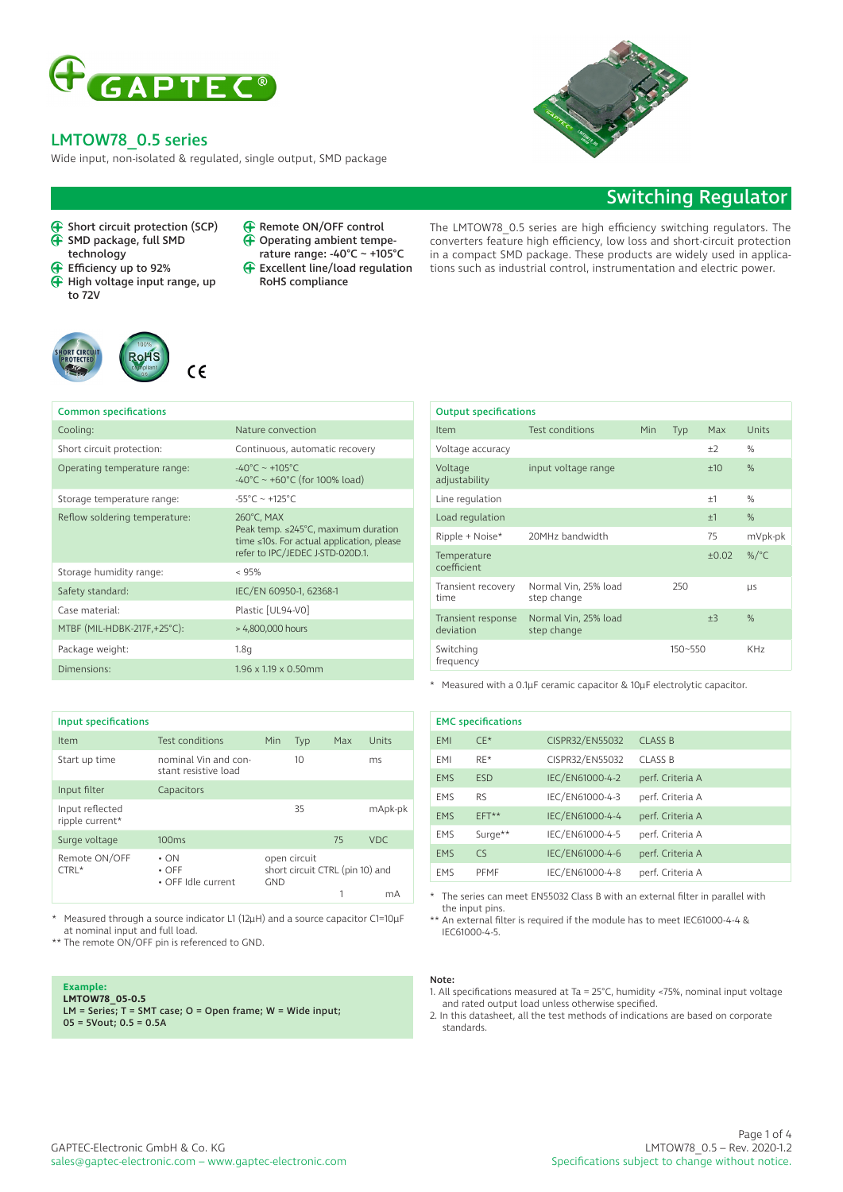

Wide input, non-isolated & regulated, single output, SMD package

# Switching Regulator

- **G** Short circuit protection (SCP)<br>
G SMD package full sMD SMD package, full SMD technology
- Efficiency up to 92%
- $\bigoplus$  High voltage input range, up to 72V



#### Remote ON/OFF control Ă Operating ambient tempe-

- rature range: -40°C ~ +105°C
- Excellent line/load regulation  $\bigoplus$ RoHS compliance

The LMTOW78\_0.5 series are high efficiency switching regulators. The converters feature high efficiency, low loss and short-circuit protection in a compact SMD package. These products are widely used in applications such as industrial control, instrumentation and electric power.

| <b>Common specifications</b>  |                                                                                                                                          |
|-------------------------------|------------------------------------------------------------------------------------------------------------------------------------------|
| Cooling:                      | Nature convection                                                                                                                        |
| Short circuit protection:     | Continuous, automatic recovery                                                                                                           |
| Operating temperature range:  | $-40^{\circ}$ C ~ +105°C<br>$-40^{\circ}$ C ~ +60 $^{\circ}$ C (for 100% load)                                                           |
| Storage temperature range:    | $-55^{\circ}$ C ~ +125°C                                                                                                                 |
| Reflow soldering temperature: | 260°C, MAX<br>Peak temp. $\leq$ 245°C, maximum duration<br>time ≤10s. For actual application, please<br>refer to IPC/JEDEC J-STD-020D.1. |
| Storage humidity range:       | < 95%                                                                                                                                    |
| Safety standard:              | IEC/EN 60950-1, 62368-1                                                                                                                  |
| Case material:                | Plastic [UL94-V0]                                                                                                                        |
| MTBF (MIL-HDBK-217F,+25°C):   | > 4,800,000 hours                                                                                                                        |
| Package weight:               | 1.8q                                                                                                                                     |
| Dimensions:                   | $1.96 \times 1.19 \times 0.50$ mm                                                                                                        |

| <b>Input specifications</b>        |                                                 |     |                                                 |     |         |
|------------------------------------|-------------------------------------------------|-----|-------------------------------------------------|-----|---------|
| Item                               | Test conditions                                 | Min | <b>Typ</b>                                      | Max | Units   |
| Start up time                      | nominal Vin and con-<br>stant resistive load    |     | 10                                              |     | ms.     |
| Input filter                       | Capacitors                                      |     |                                                 |     |         |
| Input reflected<br>ripple current* |                                                 |     | 35                                              |     | mApk-pk |
| Surge voltage                      | 100ms                                           |     |                                                 | 75  | VDC.    |
| Remote ON/OFF<br>$CTRL*$           | $\cdot$ ON<br>$\cdot$ OFF<br>• OFF Idle current | GND | open circuit<br>short circuit CTRL (pin 10) and |     |         |
|                                    |                                                 |     |                                                 | 1   | mA      |

Measured through a source indicator L1 (12µH) and a source capacitor C1=10µF at nominal input and full load.

\*\* The remote ON/OFF pin is referenced to GND.

### **Example:**

**LMTOW78\_05-0.5** LM = Series; T = SMT case; O = Open frame; W = Wide input; 05 = 5Vout; 0.5 = 0.5A

| <b>Output specifications</b>    |                                     |     |         |       |                 |
|---------------------------------|-------------------------------------|-----|---------|-------|-----------------|
| Item                            | <b>Test conditions</b>              | Min | Typ     | Max   | Units           |
| Voltage accuracy                |                                     |     |         | $+2$  | $\%$            |
| Voltage<br>adjustability        | input voltage range                 |     |         | ±10   | $\%$            |
| Line regulation                 |                                     |     |         | $+1$  | $\%$            |
| Load regulation                 |                                     |     |         | ±1    | %               |
| Ripple + Noise*                 | 20MHz bandwidth                     |     |         | 75    | mVpk-pk         |
| Temperature<br>coefficient      |                                     |     |         | ±0.02 | %/ $^{\circ}$ C |
| Transient recovery<br>time      | Normal Vin, 25% load<br>step change |     | 250     |       | <b>LIS</b>      |
| Transient response<br>deviation | Normal Vin, 25% load<br>step change |     |         | $+3$  | $\%$            |
| Switching<br>frequency          |                                     |     | 150~550 |       | KH <sub>7</sub> |

\* Measured with a 0.1µF ceramic capacitor & 10µF electrolytic capacitor.

| <b>EMC</b> specifications |            |                 |                  |  |
|---------------------------|------------|-----------------|------------------|--|
| <b>EMI</b>                | $CE*$      | CISPR32/EN55032 | <b>CLASS B</b>   |  |
| EMI                       | $RE*$      | CISPR32/EN55032 | <b>CLASS B</b>   |  |
| <b>EMS</b>                | <b>ESD</b> | IEC/EN61000-4-2 | perf. Criteria A |  |
| <b>EMS</b>                | <b>RS</b>  | IEC/EN61000-4-3 | perf. Criteria A |  |
| <b>EMS</b>                | EFT**      | IEC/EN61000-4-4 | perf. Criteria A |  |
| <b>EMS</b>                | Surge**    | IEC/EN61000-4-5 | perf. Criteria A |  |
| <b>EMS</b>                | CS         | IEC/EN61000-4-6 | perf. Criteria A |  |
| <b>EMS</b>                | PFMF       | IEC/EN61000-4-8 | perf. Criteria A |  |

\* The series can meet EN55032 Class B with an external filter in parallel with the input pins.

\*\* An external filter is required if the module has to meet IEC61000-4-4 & IEC61000-4-5.

### Note:

- 1. All specifications measured at Ta = 25°C, humidity <75%, nominal input voltage and rated output load unless otherwise specified.
- 2. In this datasheet, all the test methods of indications are based on corporate standards.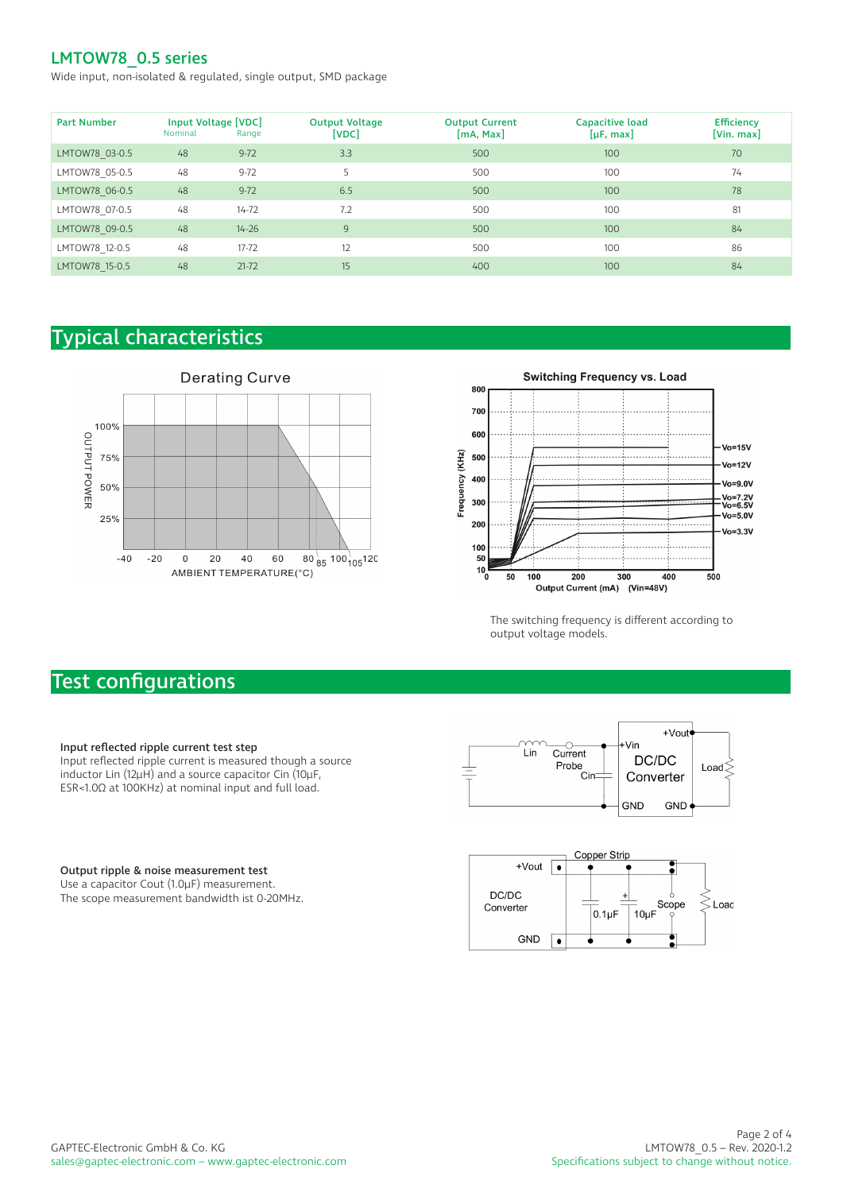Wide input, non-isolated & regulated, single output, SMD package

| <b>Part Number</b> | Input Voltage [VDC]<br>Nominal | Range     | <b>Output Voltage</b><br>[VDC] | <b>Output Current</b><br>[mA, Max] | Capacitive load<br>$[\mu F, max]$ | <b>Efficiency</b><br>[Vin. max] |
|--------------------|--------------------------------|-----------|--------------------------------|------------------------------------|-----------------------------------|---------------------------------|
| LMTOW78 03-0.5     | 48                             | $9-72$    | 3.3                            | 500                                | 100                               | 70                              |
| LMTOW78 05-0.5     | 48                             | $9-72$    |                                | 500                                | 100                               | 74                              |
| LMTOW78 06-0.5     | 48                             | $9-72$    | 6.5                            | 500                                | 100                               | 78                              |
| LMTOW78 07-0.5     | 48                             | $14 - 72$ | 7.2                            | 500                                | 100                               | 81                              |
| LMTOW78 09-0.5     | 48                             | $14 - 26$ | 9                              | 500                                | 100                               | 84                              |
| LMTOW78 12-0.5     | 48                             | $17 - 72$ | 12                             | 500                                | 100                               | 86                              |
| LMTOW78 15-0.5     | 48                             | $21-72$   | 15                             | 400                                | 100                               | 84                              |

# Typical characteristics





The switching frequency is different according to output voltage models.

# Test configurations

## Input reflected ripple current test step

Input reflected ripple current is measured though a source inductor Lin (12µH) and a source capacitor Cin (10µF, ESR<1.0Ω at 100KHz) at nominal input and full load.

#### +Vout Vin  $\overline{\overline{\text{Current}}}$ Lin DC/DC Probe<br>Cin Load $\leq$ Converter **GND** GND



Output ripple & noise measurement test

Use a capacitor Cout (1.0µF) measurement. The scope measurement bandwidth ist 0-20MHz.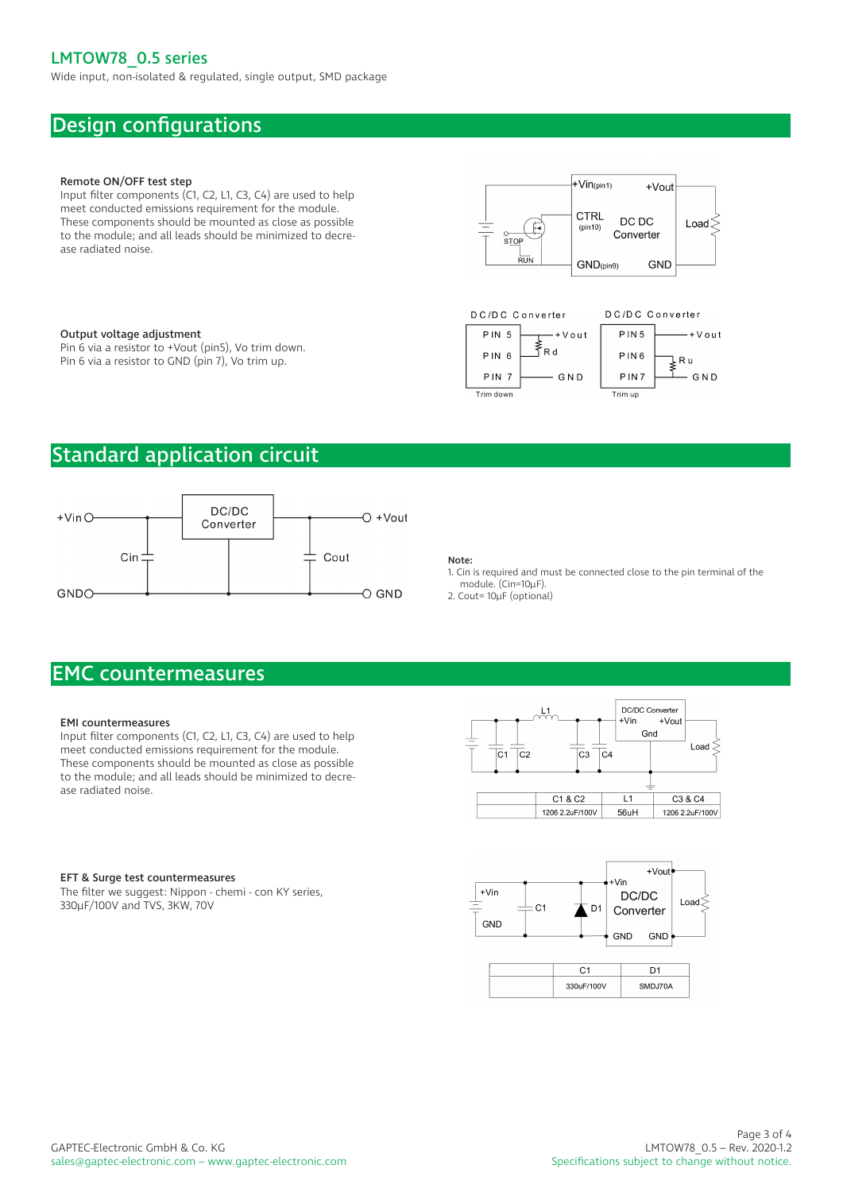Wide input, non-isolated & regulated, single output, SMD package

# Design configurations

### Remote ON/OFF test step

Input filter components (C1, C2, L1, C3, C4) are used to help meet conducted emissions requirement for the module. These components should be mounted as close as possible to the module; and all leads should be minimized to decrease radiated noise.

#### Output voltage adjustment

Pin 6 via a resistor to +Vout (pin5), Vo trim down. Pin 6 via a resistor to GND (pin 7), Vo trim up.





# Standard application circuit



## Note:

1. Cin is required and must be connected close to the pin terminal of the module. (Cin=10µF).

2. Cout= 10µF (optional)

# EMC countermeasures

#### EMI countermeasures

Input filter components (C1, C2, L1, C3, C4) are used to help meet conducted emissions requirement for the module. These components should be mounted as close as possible to the module; and all leads should be minimized to decrease radiated noise.



#### EFT & Surge test countermeasures

The filter we suggest: Nippon - chemi - con KY series, 330µF/100V and TVS, 3KW, 70V